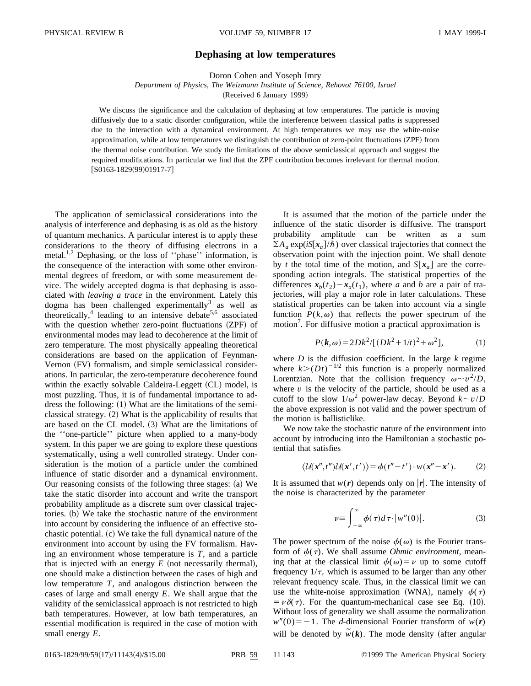## **Dephasing at low temperatures**

Doron Cohen and Yoseph Imry

*Department of Physics, The Weizmann Institute of Science, Rehovot 76100, Israel*

(Received 6 January 1999)

We discuss the significance and the calculation of dephasing at low temperatures. The particle is moving diffusively due to a static disorder configuration, while the interference between classical paths is suppressed due to the interaction with a dynamical environment. At high temperatures we may use the white-noise approximation, while at low temperatures we distinguish the contribution of zero-point fluctuations (ZPF) from the thermal noise contribution. We study the limitations of the above semiclassical approach and suggest the required modifications. In particular we find that the ZPF contribution becomes irrelevant for thermal motion.  $[S0163-1829(99)01917-7]$ 

The application of semiclassical considerations into the analysis of interference and dephasing is as old as the history of quantum mechanics. A particular interest is to apply these considerations to the theory of diffusing electrons in a metal.<sup>1,2</sup> Dephasing, or the loss of "phase" information, is the consequence of the interaction with some other environmental degrees of freedom, or with some measurement device. The widely accepted dogma is that dephasing is associated with *leaving a trace* in the environment. Lately this dogma has been challenged experimentally<sup>3</sup> as well as theoretically,<sup>4</sup> leading to an intensive debate<sup>5,6</sup> associated with the question whether zero-point fluctuations (ZPF) of environmental modes may lead to decoherence at the limit of zero temperature. The most physically appealing theoretical considerations are based on the application of Feynman-Vernon (FV) formalism, and simple semiclassical considerations. In particular, the zero-temperature decoherence found within the exactly solvable Caldeira-Leggett (CL) model, is most puzzling. Thus, it is of fundamental importance to address the following:  $(1)$  What are the limitations of the semiclassical strategy.  $(2)$  What is the applicability of results that are based on the CL model.  $(3)$  What are the limitations of the ''one-particle'' picture when applied to a many-body system. In this paper we are going to explore these questions systematically, using a well controlled strategy. Under consideration is the motion of a particle under the combined influence of static disorder and a dynamical environment. Our reasoning consists of the following three stages:  $(a)$  We take the static disorder into account and write the transport probability amplitude as a discrete sum over classical trajectories. (b) We take the stochastic nature of the environment into account by considering the influence of an effective stochastic potential.  $(c)$  We take the full dynamical nature of the environment into account by using the FV formalism. Having an environment whose temperature is *T*, and a particle that is injected with an energy  $E$  (not necessarily thermal), one should make a distinction between the cases of high and low temperature *T*, and analogous distinction between the cases of large and small energy *E*. We shall argue that the validity of the semiclassical approach is not restricted to high bath temperatures. However, at low bath temperatures, an essential modification is required in the case of motion with small energy *E*.

It is assumed that the motion of the particle under the influence of the static disorder is diffusive. The transport probability amplitude can be written as a sum  $\sum A_a \exp(iS[\mathbf{x}_a]/\hbar)$  over classical trajectories that connect the observation point with the injection point. We shall denote by *t* the total time of the motion, and  $S[x_a]$  are the corresponding action integrals. The statistical properties of the differences  $x_b(t_2) - x_a(t_1)$ , where *a* and *b* are a pair of trajectories, will play a major role in later calculations. These statistical properties can be taken into account via a single function  $P(k, \omega)$  that reflects the power spectrum of the motion<sup>7</sup>. For diffusive motion a practical approximation is

$$
P(k,\omega) = 2Dk^2 / [(Dk^2 + 1/t)^2 + \omega^2],
$$
 (1)

where *D* is the diffusion coefficient. In the large *k* regime where  $k>(Dt)^{-1/2}$  this function is a properly normalized Lorentzian. Note that the collision frequency  $\omega \sim v^2/D$ , where  $v$  is the velocity of the particle, should be used as a cutoff to the slow  $1/\omega^2$  power-law decay. Beyond  $k \sim v/D$ the above expression is not valid and the power spectrum of the motion is ballisticlike.

We now take the stochastic nature of the environment into account by introducing into the Hamiltonian a stochastic potential that satisfies

$$
\langle \mathcal{U}(\mathbf{x}'', t'')\mathcal{U}(\mathbf{x}', t') \rangle = \phi(t'' - t') \cdot w(\mathbf{x}'' - \mathbf{x}'). \tag{2}
$$

It is assumed that  $w(r)$  depends only on  $|r|$ . The intensity of the noise is characterized by the parameter

$$
\nu \equiv \int_{-\infty}^{\infty} \phi(\tau) d\tau \cdot |w''(0)|. \tag{3}
$$

The power spectrum of the noise  $\phi(\omega)$  is the Fourier transform of  $\phi(\tau)$ . We shall assume *Ohmic environment*, meaning that at the classical limit  $\phi(\omega) = \nu$  up to some cutoff frequency  $1/\tau_c$  which is assumed to be larger than any other relevant frequency scale. Thus, in the classical limit we can use the white-noise approximation (WNA), namely  $\phi(\tau)$  $= \nu \delta(\tau)$ . For the quantum-mechanical case see Eq. (10). Without loss of generality we shall assume the normalization  $w''(0) = -1$ . The *d*-dimensional Fourier transform of  $w(r)$ will be denoted by  $\tilde{w}(k)$ . The mode density (after angular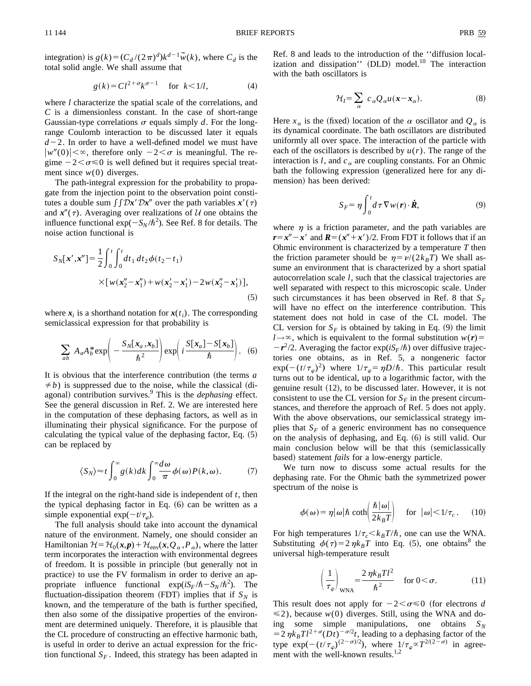$$
g(k) = Cl^{2+\sigma}k^{\sigma-1} \quad \text{for } k < 1/l,
$$
 (4)

where *l* characterize the spatial scale of the correlations, and *C* is a dimensionless constant. In the case of short-range Gaussian-type correlations  $\sigma$  equals simply *d*. For the longrange Coulomb interaction to be discussed later it equals  $d-2$ . In order to have a well-defined model we must have  $|w''(0)|<\infty$ , therefore only  $-2<\sigma$  is meaningful. The regime  $-2 < \sigma \le 0$  is well defined but it requires special treatment since  $w(0)$  diverges.

The path-integral expression for the probability to propagate from the injection point to the observation point constitutes a double sum  $\iint \mathcal{D}x' \mathcal{D}x''$  over the path variables  $x'(\tau)$ and  $x''(\tau)$ . Averaging over realizations of *U* one obtains the influence functional  $\exp(-S_N/\hbar^2)$ . See Ref. 8 for details. The noise action functional is

$$
S_N[\mathbf{x}', \mathbf{x}''] = \frac{1}{2} \int_0^t \int_0^t dt_1 dt_2 \phi(t_2 - t_1)
$$
  
×[ $w(\mathbf{x}_2'' - \mathbf{x}_1'') + w(\mathbf{x}_2' - \mathbf{x}_1') - 2w(\mathbf{x}_2'' - \mathbf{x}_1')]$ , (5)

where  $x_i$  is a shorthand notation for  $x(t_i)$ . The corresponding semiclassical expression for that probability is

$$
\sum_{ab} A_a A_b^* \exp\left(-\frac{S_N[x_a, x_b]}{\hbar^2}\right) \exp\left(i\frac{S[x_a] - S[x_b]}{\hbar}\right). \tag{6}
$$

It is obvious that the interference contribution (the terms *a*  $\neq b$ ) is suppressed due to the noise, while the classical (diagonal) contribution survives.<sup>9</sup> This is the *dephasing* effect. See the general discussion in Ref. 2. We are interested here in the computation of these dephasing factors, as well as in illuminating their physical significance. For the purpose of calculating the typical value of the dephasing factor, Eq.  $(5)$ can be replaced by

$$
\langle S_N \rangle \approx t \int_0^\infty g(k) dk \int_0^\infty \frac{d\omega}{\pi} \phi(\omega) P(k, \omega). \tag{7}
$$

If the integral on the right-hand side is independent of *t*, then the typical dephasing factor in Eq.  $(6)$  can be written as a simple exponential  $\exp(-t/\tau_{\varphi})$ .

The full analysis should take into account the dynamical nature of the environment. Namely, one should consider an Hamiltonian  $H = H_0(x,p) + H_{env}(x, Q_\alpha, P_\alpha)$ , where the latter term incorporates the interaction with environmental degrees of freedom. It is possible in principle (but generally not in practice) to use the FV formalism in order to derive an appropriate influence functional  $\exp(iS_F/\hbar - S_N/\hbar^2)$ . The fluctuation-dissipation theorem (FDT) implies that if  $S_N$  is known, and the temperature of the bath is further specified, then also some of the dissipative properties of the environment are determined uniquely. Therefore, it is plausible that the CL procedure of constructing an effective harmonic bath, is useful in order to derive an actual expression for the friction functional  $S_F$ . Indeed, this strategy has been adapted in

Ref. 8 and leads to the introduction of the ''diffusion localization and dissipation'' (DLD) model.<sup>10</sup> The interaction with the bath oscillators is

$$
\mathcal{H}_I = \sum_{\alpha} c_{\alpha} Q_{\alpha} u(\mathbf{x} - \mathbf{x}_{\alpha}). \tag{8}
$$

Here  $x_\alpha$  is the (fixed) location of the  $\alpha$  oscillator and  $Q_\alpha$  is its dynamical coordinate. The bath oscillators are distributed uniformly all over space. The interaction of the particle with each of the oscillators is described by  $u(r)$ . The range of the interaction is  $l$ , and  $c_{\alpha}$  are coupling constants. For an Ohmic bath the following expression (generalized here for any dimension) has been derived:

$$
S_F = \eta \int_0^t d\tau \nabla w(\mathbf{r}) \cdot \dot{\mathbf{R}},
$$
\n(9)

where  $\eta$  is a friction parameter, and the path variables are  $r=x''-x'$  and  $R=(x''+x')/2$ . From FDT it follows that if an Ohmic environment is characterized by a temperature *T* then the friction parameter should be  $\eta = \nu/(2k_BT)$  We shall assume an environment that is characterized by a short spatial autocorrelation scale *l*, such that the classical trajectories are well separated with respect to this microscopic scale. Under such circumstances it has been observed in Ref. 8 that  $S_F$ will have no effect on the interference contribution. This statement does not hold in case of the CL model. The CL version for  $S_F$  is obtained by taking in Eq. (9) the limit *l*→∞, which is equivalent to the formal substitution  $w(r)$  =  $-r^2/2$ . Averaging the factor exp( $iS_F/\hbar$ ) over diffusive trajectories one obtains, as in Ref. 5, a nongeneric factor  $\exp(-(t/\tau_{\varphi})^2)$  where  $1/\tau_{\varphi} = \eta D/\hbar$ . This particular result turns out to be identical, up to a logarithmic factor, with the genuine result  $(12)$ , to be discussed later. However, it is not consistent to use the CL version for  $S_F$  in the present circumstances, and therefore the approach of Ref. 5 does not apply. With the above observations, our semiclassical strategy implies that  $S_F$  of a generic environment has no consequence on the analysis of dephasing, and Eq.  $(6)$  is still valid. Our main conclusion below will be that this (semiclassically based) statement *fails* for a low-energy particle.

We turn now to discuss some actual results for the dephasing rate. For the Ohmic bath the symmetrized power spectrum of the noise is

$$
\phi(\omega) = \eta |\omega| \hbar \coth\left(\frac{\hbar |\omega|}{2k_B T}\right) \quad \text{for } |\omega| < 1/\tau_c. \tag{10}
$$

For high temperatures  $1/\tau_c \le k_B T/\hbar$ , one can use the WNA. Substituting  $\phi(\tau)=2\eta k_BT$  into Eq. (5), one obtains<sup>8</sup> the universal high-temperature result

$$
\left(\frac{1}{\tau_{\varphi}}\right)_{\text{WNA}} = \frac{2\,\eta k_B T l^2}{\hbar^2} \quad \text{for } 0 < \sigma. \tag{11}
$$

This result does not apply for  $-2 < \sigma \le 0$  (for electrons *d*  $\leq$ 2), because *w*(0) diverges. Still, using the WNA and doing some simple manipulations, one obtains  $S_N$  $=2\eta k_B T l^{2+\sigma} (Dt)^{-\sigma/2} t$ , leading to a dephasing factor of the type  $\exp(-(t/\tau_{\varphi})^{(2-\sigma)/2})$ , where  $1/\tau_{\varphi} \propto T^{2/(2-\sigma)}$  in agreement with the well-known results.<sup>1,2</sup>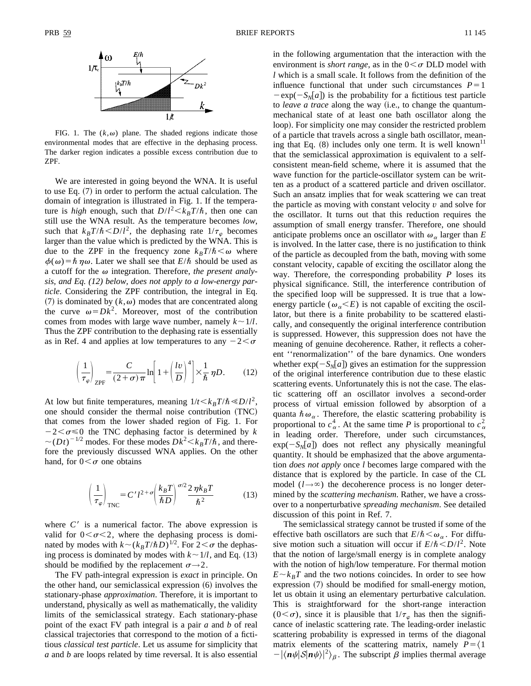

FIG. 1. The  $(k, \omega)$  plane. The shaded regions indicate those environmental modes that are effective in the dephasing process. The darker region indicates a possible excess contribution due to ZPF.

We are interested in going beyond the WNA. It is useful to use Eq.  $(7)$  in order to perform the actual calculation. The domain of integration is illustrated in Fig. 1. If the temperature is *high* enough, such that  $D/l^2 < k_B T/\hbar$ , then one can still use the WNA result. As the temperature becomes *low*, such that  $k_B T/\hbar \langle D/l^2 \rangle$ , the dephasing rate  $1/\tau_\varphi$  becomes larger than the value which is predicted by the WNA. This is due to the ZPF in the frequency zone  $k_B T/\hbar < \omega$  where  $\phi(\omega) = \hbar \eta \omega$ . Later we shall see that  $E/\hbar$  should be used as a cutoff for the  $\omega$  integration. Therefore, *the present analysis, and Eq. (12) below, does not apply to a low-energy particle*. Considering the ZPF contribution, the integral in Eq.  $(7)$  is dominated by  $(k,\omega)$  modes that are concentrated along the curve  $\omega = Dk^2$ . Moreover, most of the contribution comes from modes with large wave number, namely  $k \sim 1/l$ . Thus the ZPF contribution to the dephasing rate is essentially as in Ref. 4 and applies at low temperatures to any  $-2 < \sigma$ 

$$
\left(\frac{1}{\tau_{\varphi}}\right)_{\text{ZPF}} = \frac{C}{(2+\sigma)\pi} \ln\left[1+\left(\frac{lv}{D}\right)^4\right] \times \frac{1}{\hbar} \eta D. \tag{12}
$$

At low but finite temperatures, meaning  $1/t < k_B T/\hbar \ll D/l^2$ , one should consider the thermal noise contribution (TNC) that comes from the lower shaded region of Fig. 1. For  $-2 < \sigma \le 0$  the TNC dephasing factor is determined by *k*  $\sim$ (*Dt*)<sup>-1/2</sup> modes. For these modes *Dk*<sup>2</sup>  $\lt k_B T/\hbar$ , and therefore the previously discussed WNA applies. On the other hand, for  $0 < \sigma$  one obtains

$$
\left(\frac{1}{\tau_{\varphi}}\right)_{\text{TNC}} = C' l^{2+\sigma} \left(\frac{k_B T}{\hbar D}\right)^{\sigma/2} \frac{2 \eta k_B T}{\hbar^2} \tag{13}
$$

where  $C'$  is a numerical factor. The above expression is valid for  $0<\sigma<2$ , where the dephasing process is dominated by modes with  $k \sim (k_B T/\hbar D)^{1/2}$ . For  $2 < \sigma$  the dephasing process is dominated by modes with  $k \sim 1/l$ , and Eq. (13) should be modified by the replacement  $\sigma \rightarrow 2$ .

The FV path-integral expression is *exact* in principle. On the other hand, our semiclassical expression  $(6)$  involves the stationary-phase *approximation*. Therefore, it is important to understand, physically as well as mathematically, the validity limits of the semiclassical strategy. Each stationary-phase point of the exact FV path integral is a pair *a* and *b* of real classical trajectories that correspond to the motion of a fictitious *classical test particle*. Let us assume for simplicity that *a* and *b* are loops related by time reversal. It is also essential in the following argumentation that the interaction with the environment is *short range*, as in the  $0 < \sigma$  DLD model with *l* which is a small scale. It follows from the definition of the influence functional that under such circumstances  $P=1$  $-\exp(-S_{N}[a])$  is the probability for a fictitious test particle to *leave a trace* along the way (i.e., to change the quantummechanical state of at least one bath oscillator along the loop). For simplicity one may consider the restricted problem of a particle that travels across a single bath oscillator, meaning that Eq.  $(8)$  includes only one term. It is well known<sup>11</sup> that the semiclassical approximation is equivalent to a selfconsistent mean-field scheme, where it is assumed that the wave function for the particle-oscillator system can be written as a product of a scattered particle and driven oscillator. Such an ansatz implies that for weak scattering we can treat the particle as moving with constant velocity *v* and solve for the oscillator. It turns out that this reduction requires the assumption of small energy transfer. Therefore, one should anticipate problems once an oscillator with  $\omega_{\alpha}$  larger than *E* is involved. In the latter case, there is no justification to think of the particle as decoupled from the bath, moving with some constant velocity, capable of exciting the oscillator along the way. Therefore, the corresponding probability *P* loses its physical significance. Still, the interference contribution of the specified loop will be suppressed. It is true that a lowenergy particle ( $\omega_{\alpha}$ <*E*) is not capable of exciting the oscillator, but there is a finite probability to be scattered elastically, and consequently the original interference contribution is suppressed. However, this suppression does not have the meaning of genuine decoherence. Rather, it reflects a coherent ''renormalization'' of the bare dynamics. One wonders whether  $\exp(-S<sub>N</sub>[a])$  gives an estimation for the suppression of the original interference contribution due to these elastic scattering events. Unfortunately this is not the case. The elastic scattering off an oscillator involves a second-order process of virtual emission followed by absorption of a quanta  $\hbar \omega_\alpha$ . Therefore, the elastic scattering probability is proportional to  $c^4_\alpha$ . At the same time *P* is proportional to  $c^2_\alpha$ in leading order. Therefore, under such circumstances,  $exp(-S<sub>M</sub>[a])$  does not reflect any physically meaningful quantity. It should be emphasized that the above argumentation *does not apply* once *l* becomes large compared with the distance that is explored by the particle. In case of the CL model  $(l \rightarrow \infty)$  the decoherence process is no longer determined by the *scattering mechanism*. Rather, we have a crossover to a nonperturbative *spreading mechanism*. See detailed discussion of this point in Ref. 7.

The semiclassical strategy cannot be trusted if some of the effective bath oscillators are such that  $E/\hbar < \omega_\alpha$ . For diffusive motion such a situation will occur if  $E/\hbar \langle D/l^2$ . Note that the notion of large/small energy is in complete analogy with the notion of high/low temperature. For thermal motion  $E \sim k_B T$  and the two notions coincides. In order to see how  $expression (7)$  should be modified for small-energy motion, let us obtain it using an elementary perturbative calculation. This is straightforward for the short-range interaction  $(0<\sigma)$ , since it is plausible that  $1/\tau_{\varphi}$  has then the significance of inelastic scattering rate. The leading-order inelastic scattering probability is expressed in terms of the diagonal matrix elements of the scattering matrix, namely  $P = \langle 1 \rangle$  $-|\langle n\psi|S|n\psi\rangle|^2\rangle_{\beta}$ . The subscript  $\beta$  implies thermal average